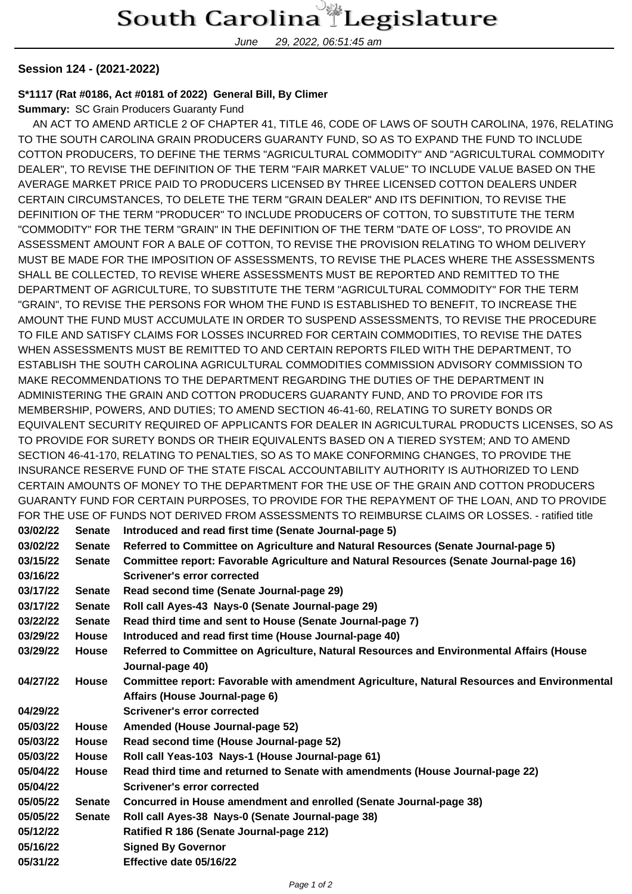June 29, 2022, 06:51:45 am

## **Session 124 - (2021-2022)**

## **S\*1117 (Rat #0186, Act #0181 of 2022) General Bill, By Climer**

**Summary:** SC Grain Producers Guaranty Fund

 AN ACT TO AMEND ARTICLE 2 OF CHAPTER 41, TITLE 46, CODE OF LAWS OF SOUTH CAROLINA, 1976, RELATING TO THE SOUTH CAROLINA GRAIN PRODUCERS GUARANTY FUND, SO AS TO EXPAND THE FUND TO INCLUDE COTTON PRODUCERS, TO DEFINE THE TERMS "AGRICULTURAL COMMODITY" AND "AGRICULTURAL COMMODITY DEALER", TO REVISE THE DEFINITION OF THE TERM "FAIR MARKET VALUE" TO INCLUDE VALUE BASED ON THE AVERAGE MARKET PRICE PAID TO PRODUCERS LICENSED BY THREE LICENSED COTTON DEALERS UNDER CERTAIN CIRCUMSTANCES, TO DELETE THE TERM "GRAIN DEALER" AND ITS DEFINITION, TO REVISE THE DEFINITION OF THE TERM "PRODUCER" TO INCLUDE PRODUCERS OF COTTON, TO SUBSTITUTE THE TERM "COMMODITY" FOR THE TERM "GRAIN" IN THE DEFINITION OF THE TERM "DATE OF LOSS", TO PROVIDE AN ASSESSMENT AMOUNT FOR A BALE OF COTTON, TO REVISE THE PROVISION RELATING TO WHOM DELIVERY MUST BE MADE FOR THE IMPOSITION OF ASSESSMENTS, TO REVISE THE PLACES WHERE THE ASSESSMENTS SHALL BE COLLECTED, TO REVISE WHERE ASSESSMENTS MUST BE REPORTED AND REMITTED TO THE DEPARTMENT OF AGRICULTURE, TO SUBSTITUTE THE TERM "AGRICULTURAL COMMODITY" FOR THE TERM "GRAIN", TO REVISE THE PERSONS FOR WHOM THE FUND IS ESTABLISHED TO BENEFIT, TO INCREASE THE AMOUNT THE FUND MUST ACCUMULATE IN ORDER TO SUSPEND ASSESSMENTS, TO REVISE THE PROCEDURE TO FILE AND SATISFY CLAIMS FOR LOSSES INCURRED FOR CERTAIN COMMODITIES, TO REVISE THE DATES WHEN ASSESSMENTS MUST BE REMITTED TO AND CERTAIN REPORTS FILED WITH THE DEPARTMENT, TO ESTABLISH THE SOUTH CAROLINA AGRICULTURAL COMMODITIES COMMISSION ADVISORY COMMISSION TO MAKE RECOMMENDATIONS TO THE DEPARTMENT REGARDING THE DUTIES OF THE DEPARTMENT IN ADMINISTERING THE GRAIN AND COTTON PRODUCERS GUARANTY FUND, AND TO PROVIDE FOR ITS MEMBERSHIP, POWERS, AND DUTIES; TO AMEND SECTION 46-41-60, RELATING TO SURETY BONDS OR EQUIVALENT SECURITY REQUIRED OF APPLICANTS FOR DEALER IN AGRICULTURAL PRODUCTS LICENSES, SO AS TO PROVIDE FOR SURETY BONDS OR THEIR EQUIVALENTS BASED ON A TIERED SYSTEM; AND TO AMEND SECTION 46-41-170, RELATING TO PENALTIES, SO AS TO MAKE CONFORMING CHANGES, TO PROVIDE THE INSURANCE RESERVE FUND OF THE STATE FISCAL ACCOUNTABILITY AUTHORITY IS AUTHORIZED TO LEND CERTAIN AMOUNTS OF MONEY TO THE DEPARTMENT FOR THE USE OF THE GRAIN AND COTTON PRODUCERS GUARANTY FUND FOR CERTAIN PURPOSES, TO PROVIDE FOR THE REPAYMENT OF THE LOAN, AND TO PROVIDE FOR THE USE OF FUNDS NOT DERIVED FROM ASSESSMENTS TO REIMBURSE CLAIMS OR LOSSES. - ratified title

| 03/02/22 | <b>Senate</b> | Introduced and read first time (Senate Journal-page 5)                                      |
|----------|---------------|---------------------------------------------------------------------------------------------|
| 03/02/22 | <b>Senate</b> | Referred to Committee on Agriculture and Natural Resources (Senate Journal-page 5)          |
| 03/15/22 | <b>Senate</b> | Committee report: Favorable Agriculture and Natural Resources (Senate Journal-page 16)      |
| 03/16/22 |               | Scrivener's error corrected                                                                 |
| 03/17/22 | <b>Senate</b> | Read second time (Senate Journal-page 29)                                                   |
| 03/17/22 | <b>Senate</b> | Roll call Ayes-43 Nays-0 (Senate Journal-page 29)                                           |
| 03/22/22 | <b>Senate</b> | Read third time and sent to House (Senate Journal-page 7)                                   |
| 03/29/22 | <b>House</b>  | Introduced and read first time (House Journal-page 40)                                      |
| 03/29/22 | <b>House</b>  | Referred to Committee on Agriculture, Natural Resources and Environmental Affairs (House    |
|          |               | Journal-page 40)                                                                            |
| 04/27/22 | <b>House</b>  | Committee report: Favorable with amendment Agriculture, Natural Resources and Environmental |
|          |               | Affairs (House Journal-page 6)                                                              |
| 04/29/22 |               | <b>Scrivener's error corrected</b>                                                          |
| 05/03/22 | <b>House</b>  | Amended (House Journal-page 52)                                                             |
| 05/03/22 | <b>House</b>  | Read second time (House Journal-page 52)                                                    |
| 05/03/22 | <b>House</b>  | Roll call Yeas-103 Nays-1 (House Journal-page 61)                                           |
| 05/04/22 | <b>House</b>  | Read third time and returned to Senate with amendments (House Journal-page 22)              |
| 05/04/22 |               | Scrivener's error corrected                                                                 |
| 05/05/22 | <b>Senate</b> | Concurred in House amendment and enrolled (Senate Journal-page 38)                          |
| 05/05/22 | <b>Senate</b> | Roll call Ayes-38 Nays-0 (Senate Journal-page 38)                                           |
| 05/12/22 |               | Ratified R 186 (Senate Journal-page 212)                                                    |
| 05/16/22 |               | <b>Signed By Governor</b>                                                                   |
| 05/31/22 |               | Effective date 05/16/22                                                                     |